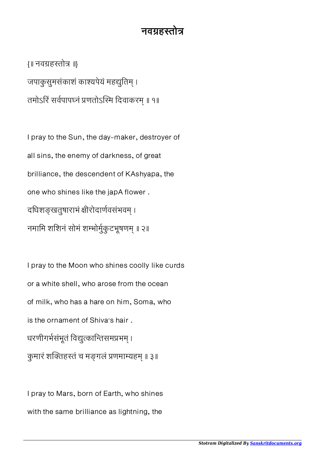## नवग्रहस्तोत्र

{॥ नवहतो ॥} जपाकुसुमसंकाशं काश्यपेयं महद्युतिम् । तमोऽरिं सर्वपापघ्नं प्रणतोऽस्मि दिवाकरम् ॥ १॥

I pray to the Sun, the day-maker, destroyer of all sins, the enemy of darkness, of great brilliance, the descendent of KAshyapa, the one who shines like the japA flower . दधिशङ्खतुषाराभं क्षीरोदार्णवसंभवम् । नमामि शशिनं सोमं शम्भोर्मुकुटभूषणम् ॥ २॥

I pray to the Moon who shines coolly like curds or a white shell, who arose from the ocean of milk, who has a hare on him, Soma, who is the ornament of Shiva's hair . धरणीगर्भसंभूतं विद्युत्कान्तिसमप्रभम् । कुमारं शक्तिहस्तं च मङ्गलं प्रणमाम्यहम् ॥ ३॥

I pray to Mars, born of Earth, who shines with the same brilliance as lightning, the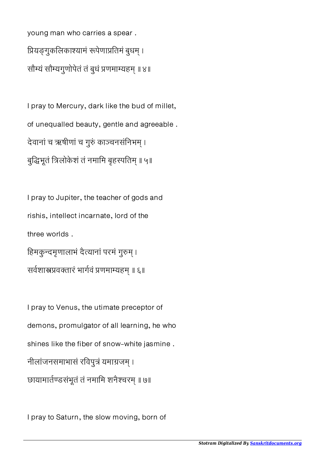young man who carries a spear . प्रियङ्गुकलिकाश्यामं रूपेणाप्रतिमं बुधम् । सौम्यं सौम्यगुणोपेतं तं बुधं प्रणमाम्यहम् ॥ ४॥

I pray to Mercury, dark like the bud of millet, of unequalled beauty, gentle and agreeable . देवानां च ऋषीणां च गुरुं काञ्चनसंनिभम् । बुद्धिभूतं त्रिलोकेशं तं नमामि बृहस्पतिम् ॥ ५॥

I pray to Jupiter, the teacher of gods and rishis, intellect incarnate, lord of the three worlds . हिमकुन्दमृणालाभं दैत्यानां परमं गुरुम् । सर्वशास्त्रप्रवक्तारं भार्गवं प्रणमाम्यहम् ॥ ६॥

I pray to Venus, the utimate preceptor of demons, promulgator of all learning, he who shines like the fiber of snow-white jasmine . नीलांजनसमाभासं रविपुत्रं यमाग्रजम । छायामार्तण्डसंभूतं तं नमामि शनैश्चरम् ॥ ७॥

I pray to Saturn, the slow moving, born of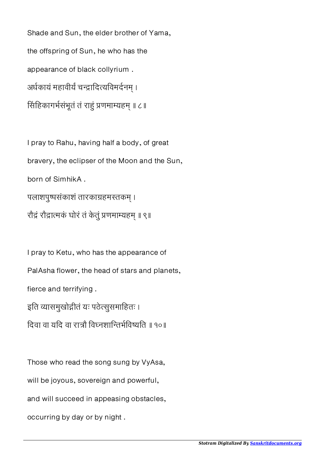Shade and Sun, the elder brother of Yama, the offspring of Sun, he who has the appearance of black collyrium . अर्धकायं महावीर्यं चन्द्रादित्यविमर्दनम् । सिंहिकागर्भसंभूतं तं राहुं प्रणमाम्यहम् ॥ ८॥

I pray to Rahu, having half a body, of great bravery, the eclipser of the Moon and the Sun, born of SimhikA . पलाशपुष्पसंकाशं तारकाग्रहमस्तकम् । रौंद्रं रौद्रात्मकं घोरं तं केतुं प्रणमाम्यहम् ॥ ९॥

I pray to Ketu, who has the appearance of PalAsha flower, the head of stars and planets, fierce and terrifying . इति व्यासमुखोद्गीतं यः पठेत्सुसमाहितः । िदवा वा यिद वा राौ िवनशाितभिवयित ॥ १०॥

Those who read the song sung by VyAsa, will be joyous, sovereign and powerful,

and will succeed in appeasing obstacles,

occurring by day or by night .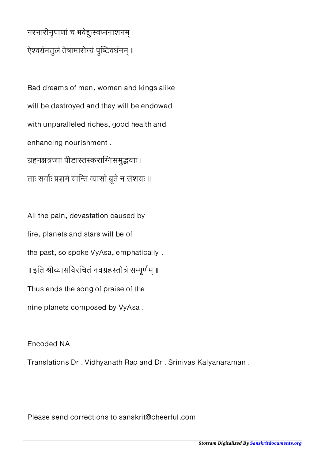## नरनारीनृपाणां च भवेद्दःस्वप्ननाशनम् । ऐश्वर्यमतुलं तेषामारोग्यं पुष्टिवर्धनम् ॥

Bad dreams of men, women and kings alike will be destroyed and they will be endowed with unparalleled riches, good health and enhancing nourishment . ग्रहनक्षत्रजाः पीडास्तस्कराग्निसमुद्भवाः । ताः सर्वाः प्रशमं यान्ति व्यासो ब्रूते न संशयः ॥

All the pain, devastation caused by fire, planets and stars will be of the past, so spoke VyAsa, emphatically . ॥ इति श्रीव्यासविरचितं नवग्रहस्तोत्रं सम्पूर्णम् ॥ Thus ends the song of praise of the nine planets composed by VyAsa .

Encoded NA

Translations Dr . Vidhyanath Rao and Dr . Srinivas Kalyanaraman .

Please send corrections to sanskrit@cheerful.com